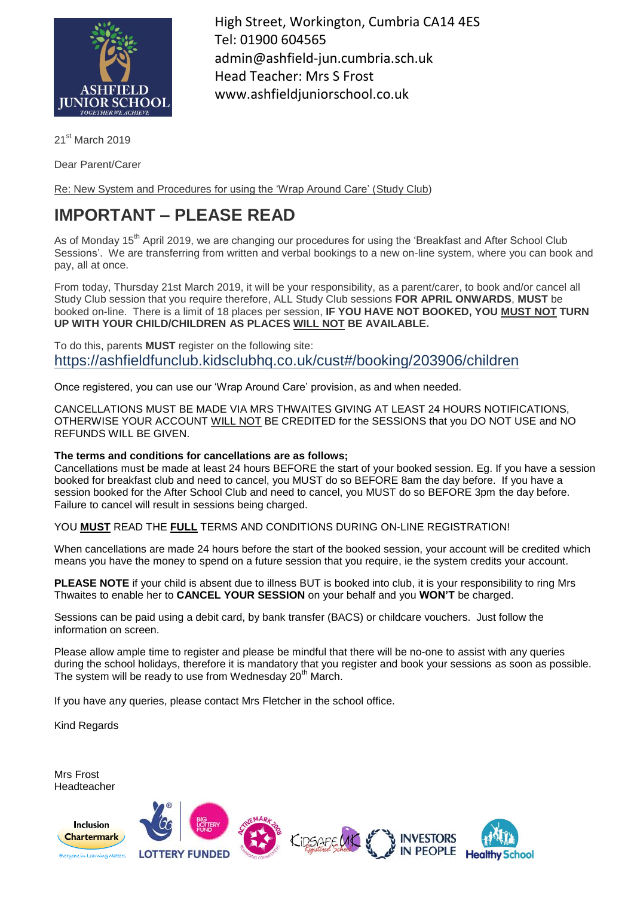

High Street, Workington, Cumbria CA14 4ES Tel: 01900 604565 admin@ashfield-jun.cumbria.sch.uk Head Teacher: Mrs S Frost www.ashfieldjuniorschool.co.uk

21<sup>st</sup> March 2019

Dear Parent/Carer

Re: New System and Procedures for using the 'Wrap Around Care' (Study Club)

## **IMPORTANT – PLEASE READ**

As of Monday 15<sup>th</sup> April 2019, we are changing our procedures for using the 'Breakfast and After School Club Sessions'. We are transferring from written and verbal bookings to a new on-line system, where you can book and pay, all at once.

From today, Thursday 21st March 2019, it will be your responsibility, as a parent/carer, to book and/or cancel all Study Club session that you require therefore, ALL Study Club sessions **FOR APRIL ONWARDS**, **MUST** be booked on-line. There is a limit of 18 places per session, **IF YOU HAVE NOT BOOKED, YOU MUST NOT TURN UP WITH YOUR CHILD/CHILDREN AS PLACES WILL NOT BE AVAILABLE.**

To do this, parents **MUST** register on the following site: https://ashfieldfunclub.kidsclubhq.co.uk/cust#/booking/203906/children

Once registered, you can use our 'Wrap Around Care' provision, as and when needed.

CANCELLATIONS MUST BE MADE VIA MRS THWAITES GIVING AT LEAST 24 HOURS NOTIFICATIONS, OTHERWISE YOUR ACCOUNT WILL NOT BE CREDITED for the SESSIONS that you DO NOT USE and NO REFUNDS WILL BE GIVEN.

## **The terms and conditions for cancellations are as follows;**

Cancellations must be made at least 24 hours BEFORE the start of your booked session. Eg. If you have a session booked for breakfast club and need to cancel, you MUST do so BEFORE 8am the day before. If you have a session booked for the After School Club and need to cancel, you MUST do so BEFORE 3pm the day before. Failure to cancel will result in sessions being charged.

YOU **MUST** READ THE **FULL** TERMS AND CONDITIONS DURING ON-LINE REGISTRATION!

When cancellations are made 24 hours before the start of the booked session, your account will be credited which means you have the money to spend on a future session that you require, ie the system credits your account.

**PLEASE NOTE** if your child is absent due to illness BUT is booked into club, it is your responsibility to ring Mrs Thwaites to enable her to **CANCEL YOUR SESSION** on your behalf and you **WON'T** be charged.

Sessions can be paid using a debit card, by bank transfer (BACS) or childcare vouchers. Just follow the information on screen.

Please allow ample time to register and please be mindful that there will be no-one to assist with any queries during the school holidays, therefore it is mandatory that you register and book your sessions as soon as possible. The system will be ready to use from Wednesday 20<sup>th</sup> March.

If you have any queries, please contact Mrs Fletcher in the school office.

Kind Regards

Mrs Frost Headteacher